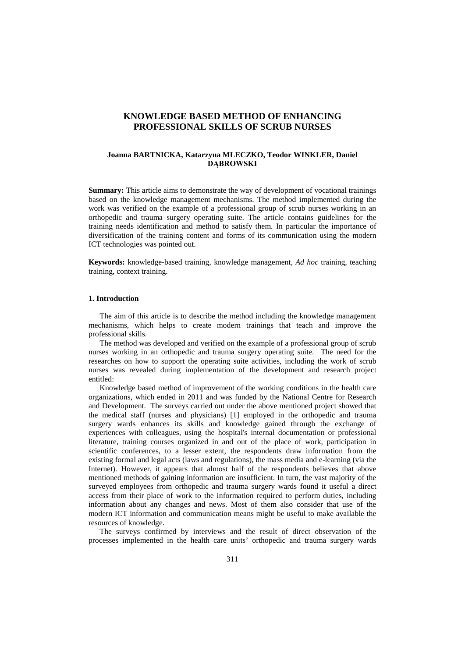# **KNOWLEDGE BASED METHOD OF ENHANCING PROFESSIONAL SKILLS OF SCRUB NURSES**

### **Joanna BARTNICKA, Katarzyna MLECZKO, Teodor WINKLER, Daniel DĄBROWSKI**

**Summary:** This article aims to demonstrate the way of development of vocational trainings based on the knowledge management mechanisms. The method implemented during the work was verified on the example of a professional group of scrub nurses working in an orthopedic and trauma surgery operating suite. The article contains guidelines for the training needs identification and method to satisfy them. In particular the importance of diversification of the training content and forms of its communication using the modern ICT technologies was pointed out.

**Keywords:** knowledge-based training, knowledge management, *Ad hoc* training, teaching training, context training.

## **1. Introduction**

The aim of this article is to describe the method including the knowledge management mechanisms, which helps to create modern trainings that teach and improve the professional skills.

The method was developed and verified on the example of a professional group of scrub nurses working in an orthopedic and trauma surgery operating suite. The need for the researches on how to support the operating suite activities, including the work of scrub nurses was revealed during implementation of the development and research project entitled:

Knowledge based method of improvement of the working conditions in the health care organizations, which ended in 2011 and was funded by the National Centre for Research and Development. The surveys carried out under the above mentioned project showed that the medical staff (nurses and physicians) [1] employed in the orthopedic and trauma surgery wards enhances its skills and knowledge gained through the exchange of experiences with colleagues, using the hospital's internal documentation or professional literature, training courses organized in and out of the place of work, participation in scientific conferences, to a lesser extent, the respondents draw information from the existing formal and legal acts (laws and regulations), the mass media and e-learning (via the Internet). However, it appears that almost half of the respondents believes that above mentioned methods of gaining information are insufficient. In turn, the vast majority of the surveyed employees from orthopedic and trauma surgery wards found it useful a direct access from their place of work to the information required to perform duties, including information about any changes and news. Most of them also consider that use of the modern ICT information and communication means might be useful to make available the resources of knowledge.

The surveys confirmed by interviews and the result of direct observation of the processes implemented in the health care units' orthopedic and trauma surgery wards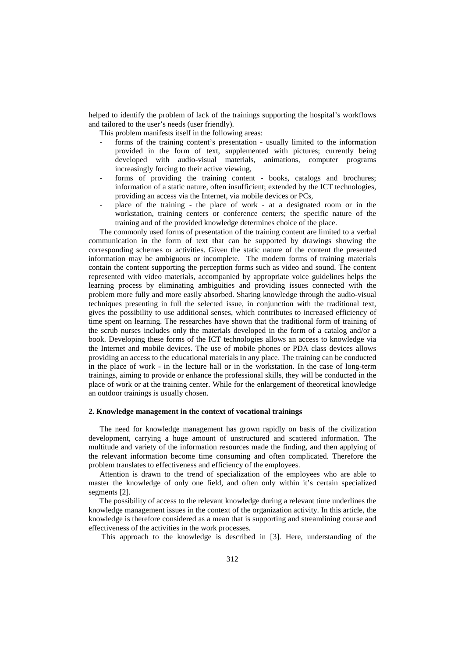helped to identify the problem of lack of the trainings supporting the hospital's workflows and tailored to the user's needs (user friendly).

This problem manifests itself in the following areas:

- forms of the training content's presentation usually limited to the information provided in the form of text, supplemented with pictures; currently being developed with audio-visual materials, animations, computer programs increasingly forcing to their active viewing,
- forms of providing the training content books, catalogs and brochures; information of a static nature, often insufficient; extended by the ICT technologies, providing an access via the Internet, via mobile devices or PCs,
- place of the training the place of work at a designated room or in the workstation, training centers or conference centers; the specific nature of the training and of the provided knowledge determines choice of the place.

The commonly used forms of presentation of the training content are limited to a verbal communication in the form of text that can be supported by drawings showing the corresponding schemes or activities. Given the static nature of the content the presented information may be ambiguous or incomplete. The modern forms of training materials contain the content supporting the perception forms such as video and sound. The content represented with video materials, accompanied by appropriate voice guidelines helps the learning process by eliminating ambiguities and providing issues connected with the problem more fully and more easily absorbed. Sharing knowledge through the audio-visual techniques presenting in full the selected issue, in conjunction with the traditional text, gives the possibility to use additional senses, which contributes to increased efficiency of time spent on learning. The researches have shown that the traditional form of training of the scrub nurses includes only the materials developed in the form of a catalog and/or a book. Developing these forms of the ICT technologies allows an access to knowledge via the Internet and mobile devices. The use of mobile phones or PDA class devices allows providing an access to the educational materials in any place. The training can be conducted in the place of work - in the lecture hall or in the workstation. In the case of long-term trainings, aiming to provide or enhance the professional skills, they will be conducted in the place of work or at the training center. While for the enlargement of theoretical knowledge an outdoor trainings is usually chosen.

#### **2. Knowledge management in the context of vocational trainings**

The need for knowledge management has grown rapidly on basis of the civilization development, carrying a huge amount of unstructured and scattered information. The multitude and variety of the information resources made the finding, and then applying of the relevant information become time consuming and often complicated. Therefore the problem translates to effectiveness and efficiency of the employees.

Attention is drawn to the trend of specialization of the employees who are able to master the knowledge of only one field, and often only within it's certain specialized segments [2].

The possibility of access to the relevant knowledge during a relevant time underlines the knowledge management issues in the context of the organization activity. In this article, the knowledge is therefore considered as a mean that is supporting and streamlining course and effectiveness of the activities in the work processes.

This approach to the knowledge is described in [3]. Here, understanding of the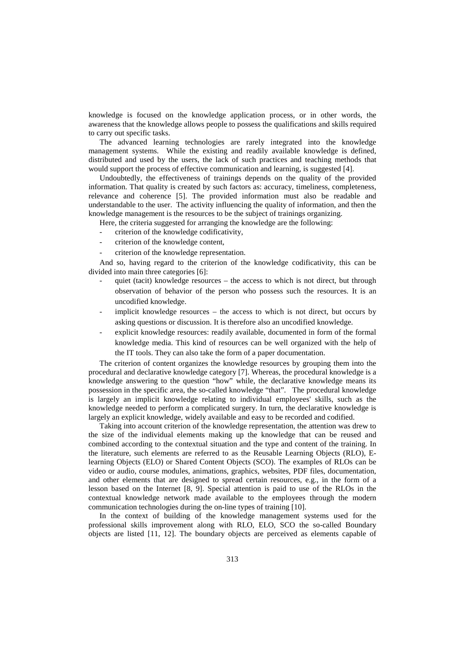knowledge is focused on the knowledge application process, or in other words, the awareness that the knowledge allows people to possess the qualifications and skills required to carry out specific tasks.

The advanced learning technologies are rarely integrated into the knowledge management systems. While the existing and readily available knowledge is defined, distributed and used by the users, the lack of such practices and teaching methods that would support the process of effective communication and learning, is suggested [4].

Undoubtedly, the effectiveness of trainings depends on the quality of the provided information. That quality is created by such factors as: accuracy, timeliness, completeness, relevance and coherence [5]. The provided information must also be readable and understandable to the user. The activity influencing the quality of information, and then the knowledge management is the resources to be the subject of trainings organizing.

Here, the criteria suggested for arranging the knowledge are the following:

- criterion of the knowledge codificativity,
- criterion of the knowledge content,
- criterion of the knowledge representation.

And so, having regard to the criterion of the knowledge codificativity, this can be divided into main three categories [6]:

- quiet (tacit) knowledge resources the access to which is not direct, but through observation of behavior of the person who possess such the resources. It is an uncodified knowledge.
- implicit knowledge resources  $-$  the access to which is not direct, but occurs by asking questions or discussion. It is therefore also an uncodified knowledge.
- explicit knowledge resources: readily available, documented in form of the formal knowledge media. This kind of resources can be well organized with the help of the IT tools. They can also take the form of a paper documentation.

The criterion of content organizes the knowledge resources by grouping them into the procedural and declarative knowledge category [7]. Whereas, the procedural knowledge is a knowledge answering to the question "how" while, the declarative knowledge means its possession in the specific area, the so-called knowledge "that". The procedural knowledge is largely an implicit knowledge relating to individual employees' skills, such as the knowledge needed to perform a complicated surgery. In turn, the declarative knowledge is largely an explicit knowledge, widely available and easy to be recorded and codified.

Taking into account criterion of the knowledge representation, the attention was drew to the size of the individual elements making up the knowledge that can be reused and combined according to the contextual situation and the type and content of the training. In the literature, such elements are referred to as the Reusable Learning Objects (RLO), Elearning Objects (ELO) or Shared Content Objects (SCO). The examples of RLOs can be video or audio, course modules, animations, graphics, websites, PDF files, documentation, and other elements that are designed to spread certain resources, e.g., in the form of a lesson based on the Internet [8, 9]. Special attention is paid to use of the RLOs in the contextual knowledge network made available to the employees through the modern communication technologies during the on-line types of training [10].

In the context of building of the knowledge management systems used for the professional skills improvement along with RLO, ELO, SCO the so-called Boundary objects are listed [11, 12]. The boundary objects are perceived as elements capable of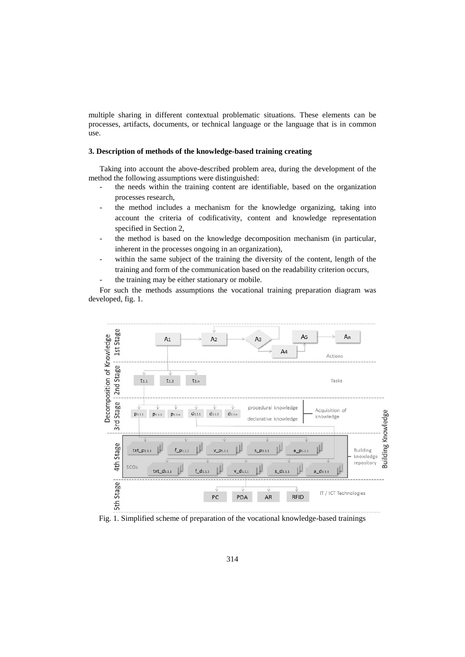multiple sharing in different contextual problematic situations. These elements can be processes, artifacts, documents, or technical language or the language that is in common use.

# **3. Description of methods of the knowledge-based training creating**

Taking into account the above-described problem area, during the development of the method the following assumptions were distinguished:

- the needs within the training content are identifiable, based on the organization processes research,
- the method includes a mechanism for the knowledge organizing, taking into account the criteria of codificativity, content and knowledge representation specified in Section 2,
- the method is based on the knowledge decomposition mechanism (in particular, inherent in the processes ongoing in an organization),
- within the same subject of the training the diversity of the content, length of the training and form of the communication based on the readability criterion occurs,
- the training may be either stationary or mobile.

For such the methods assumptions the vocational training preparation diagram was developed, fig. 1.



Fig. 1. Simplified scheme of preparation of the vocational knowledge-based trainings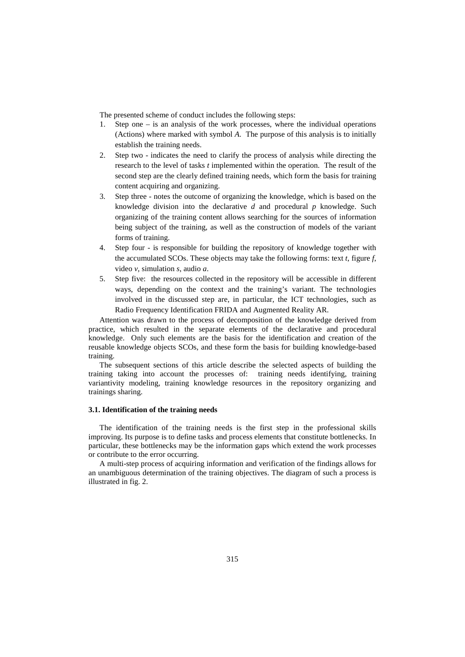The presented scheme of conduct includes the following steps:

- 1. Step one is an analysis of the work processes, where the individual operations (Actions) where marked with symbol *A*. The purpose of this analysis is to initially establish the training needs.
- 2. Step two indicates the need to clarify the process of analysis while directing the research to the level of tasks *t* implemented within the operation. The result of the second step are the clearly defined training needs, which form the basis for training content acquiring and organizing.
- 3. Step three notes the outcome of organizing the knowledge, which is based on the knowledge division into the declarative *d* and procedural *p* knowledge. Such organizing of the training content allows searching for the sources of information being subject of the training, as well as the construction of models of the variant forms of training.
- 4. Step four is responsible for building the repository of knowledge together with the accumulated SCOs. These objects may take the following forms: text *t*, figure *f*, video *v*, simulation *s*, audio *a*.
- 5. Step five: the resources collected in the repository will be accessible in different ways, depending on the context and the training's variant. The technologies involved in the discussed step are, in particular, the ICT technologies, such as Radio Frequency Identification FRIDA and Augmented Reality AR.

Attention was drawn to the process of decomposition of the knowledge derived from practice, which resulted in the separate elements of the declarative and procedural knowledge. Only such elements are the basis for the identification and creation of the reusable knowledge objects SCOs, and these form the basis for building knowledge-based training.

The subsequent sections of this article describe the selected aspects of building the training taking into account the processes of: training needs identifying, training variantivity modeling, training knowledge resources in the repository organizing and trainings sharing.

### **3.1. Identification of the training needs**

The identification of the training needs is the first step in the professional skills improving. Its purpose is to define tasks and process elements that constitute bottlenecks. In particular, these bottlenecks may be the information gaps which extend the work processes or contribute to the error occurring.

A multi-step process of acquiring information and verification of the findings allows for an unambiguous determination of the training objectives. The diagram of such a process is illustrated in fig. 2.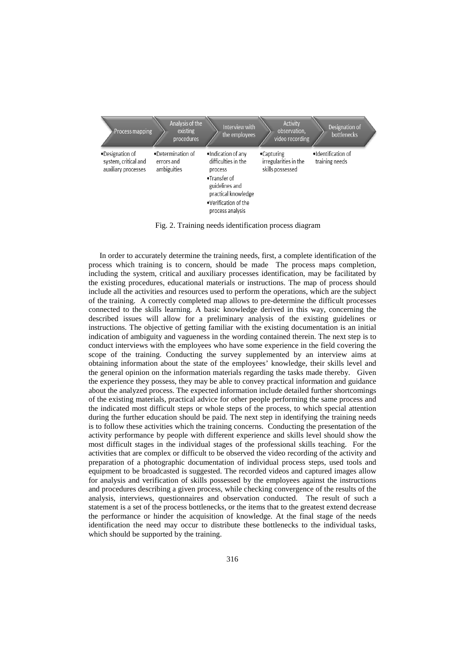

Fig. 2. Training needs identification process diagram

In order to accurately determine the training needs, first, a complete identification of the process which training is to concern, should be made The process maps completion, including the system, critical and auxiliary processes identification, may be facilitated by the existing procedures, educational materials or instructions. The map of process should include all the activities and resources used to perform the operations, which are the subject of the training. A correctly completed map allows to pre-determine the difficult processes connected to the skills learning. A basic knowledge derived in this way, concerning the described issues will allow for a preliminary analysis of the existing guidelines or instructions. The objective of getting familiar with the existing documentation is an initial indication of ambiguity and vagueness in the wording contained therein. The next step is to conduct interviews with the employees who have some experience in the field covering the scope of the training. Conducting the survey supplemented by an interview aims at obtaining information about the state of the employees' knowledge, their skills level and the general opinion on the information materials regarding the tasks made thereby. Given the experience they possess, they may be able to convey practical information and guidance about the analyzed process. The expected information include detailed further shortcomings of the existing materials, practical advice for other people performing the same process and the indicated most difficult steps or whole steps of the process, to which special attention during the further education should be paid. The next step in identifying the training needs is to follow these activities which the training concerns. Conducting the presentation of the activity performance by people with different experience and skills level should show the most difficult stages in the individual stages of the professional skills teaching. For the activities that are complex or difficult to be observed the video recording of the activity and preparation of a photographic documentation of individual process steps, used tools and equipment to be broadcasted is suggested. The recorded videos and captured images allow for analysis and verification of skills possessed by the employees against the instructions and procedures describing a given process, while checking convergence of the results of the analysis, interviews, questionnaires and observation conducted. The result of such a statement is a set of the process bottlenecks, or the items that to the greatest extend decrease the performance or hinder the acquisition of knowledge. At the final stage of the needs identification the need may occur to distribute these bottlenecks to the individual tasks, which should be supported by the training.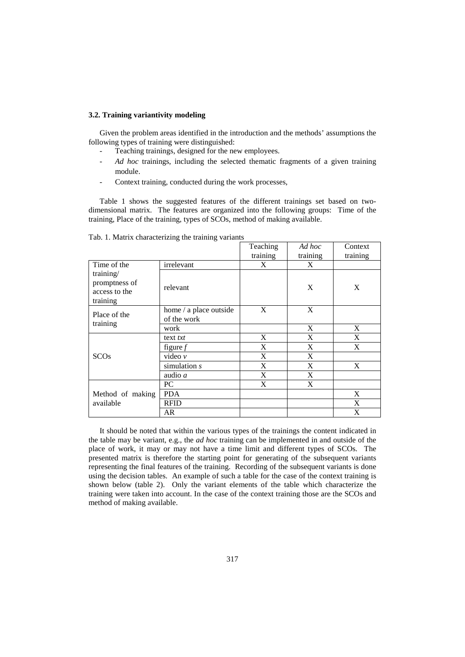# **3.2. Training variantivity modeling**

Given the problem areas identified in the introduction and the methods' assumptions the following types of training were distinguished:

- Teaching trainings, designed for the new employees.
- *Ad hoc* trainings, including the selected thematic fragments of a given training module.
- Context training, conducted during the work processes,

Table 1 shows the suggested features of the different trainings set based on twodimensional matrix. The features are organized into the following groups: Time of the training, Place of the training, types of SCOs, method of making available.

|                                                         |                                       | Teaching | Ad hoc   | Context  |
|---------------------------------------------------------|---------------------------------------|----------|----------|----------|
|                                                         |                                       | training | training | training |
| Time of the                                             | irrelevant                            | X        | X        |          |
| training/<br>promptness of<br>access to the<br>training | relevant                              |          | X        | X        |
| Place of the                                            | home / a place outside<br>of the work | X        | X        |          |
| training                                                | work                                  |          | X        | X        |
|                                                         | $text{ text } txt$                    | X        | X        | X        |
|                                                         | figure $f$                            | X        | X        | X        |
| <b>SCOs</b>                                             | video $\nu$                           | X        | X        |          |
|                                                         | simulation $s$                        | X        | X        | X        |
|                                                         | audio a                               | X        | X        |          |
|                                                         | PC                                    | X        | X        |          |
| Method of making                                        | <b>PDA</b>                            |          |          | X        |
| available                                               | <b>RFID</b>                           |          |          | X        |
|                                                         | AR                                    |          |          | X        |

Tab. 1. Matrix characterizing the training variants

It should be noted that within the various types of the trainings the content indicated in the table may be variant, e.g., the *ad hoc* training can be implemented in and outside of the place of work, it may or may not have a time limit and different types of SCOs. The presented matrix is therefore the starting point for generating of the subsequent variants representing the final features of the training. Recording of the subsequent variants is done using the decision tables. An example of such a table for the case of the context training is shown below (table 2). Only the variant elements of the table which characterize the training were taken into account. In the case of the context training those are the SCOs and method of making available.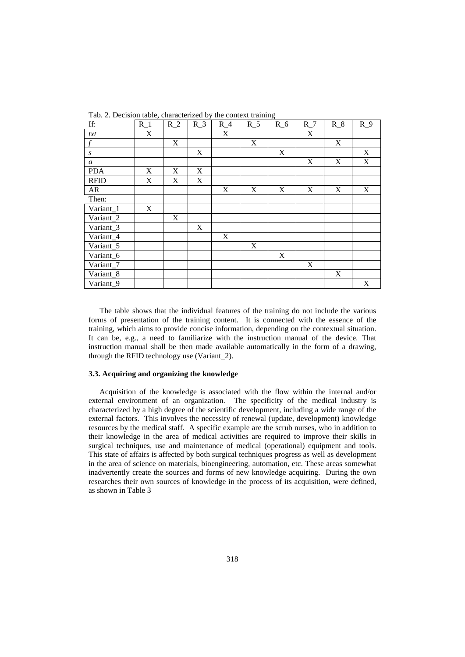| If:                                      | $R_1$       | $R_2$                     | $R_3$ | $R_4$                     | $R_{-}5$ | $\bar{c}$<br>$R_6$ | $R_7$ | $R_8$       | $R_9$ |
|------------------------------------------|-------------|---------------------------|-------|---------------------------|----------|--------------------|-------|-------------|-------|
| txt                                      | X           |                           |       | X                         |          |                    | X     |             |       |
|                                          |             | X                         |       |                           | X        |                    |       | X           |       |
| S                                        |             |                           | X     |                           |          | $\mathbf X$        |       |             | X     |
| $\boldsymbol{a}$                         |             |                           |       |                           |          |                    | X     | X           | X     |
| <b>PDA</b>                               | $\mathbf X$ | X                         | X     |                           |          |                    |       |             |       |
| <b>RFID</b>                              | $\mathbf X$ | X                         | X     |                           |          |                    |       |             |       |
| ${\sf AR}$                               |             |                           |       | $\boldsymbol{\mathrm{X}}$ | X        | $\mathbf X$        | X     | $\mathbf X$ | X     |
| Then:                                    |             |                           |       |                           |          |                    |       |             |       |
| $\overline{\text{V}}$ ariant_1           | X           |                           |       |                           |          |                    |       |             |       |
| $\overline{\text{V}}$ ariant_2           |             | $\boldsymbol{\mathrm{X}}$ |       |                           |          |                    |       |             |       |
| $\overline{\text{V}}$ ariant_3           |             |                           | X     |                           |          |                    |       |             |       |
| Variant_4                                |             |                           |       | X                         |          |                    |       |             |       |
| $\overline{\text{Variant}}$ _5           |             |                           |       |                           | X        |                    |       |             |       |
| $\overline{\text{V}}$ ariant_6           |             |                           |       |                           |          | $\mathbf X$        |       |             |       |
| $\overline{\text{Variant}}$ <sub>7</sub> |             |                           |       |                           |          |                    | X     |             |       |
| Variant_8                                |             |                           |       |                           |          |                    |       | X           |       |
| $\overline{\text{Variant}}$ _9           |             |                           |       |                           |          |                    |       |             | X     |

Tab. 2. Decision table, characterized by the context training

The table shows that the individual features of the training do not include the various forms of presentation of the training content. It is connected with the essence of the training, which aims to provide concise information, depending on the contextual situation. It can be, e.g., a need to familiarize with the instruction manual of the device. That instruction manual shall be then made available automatically in the form of a drawing, through the RFID technology use (Variant\_2).

### **3.3. Acquiring and organizing the knowledge**

Acquisition of the knowledge is associated with the flow within the internal and/or external environment of an organization. The specificity of the medical industry is characterized by a high degree of the scientific development, including a wide range of the external factors. This involves the necessity of renewal (update, development) knowledge resources by the medical staff. A specific example are the scrub nurses, who in addition to their knowledge in the area of medical activities are required to improve their skills in surgical techniques, use and maintenance of medical (operational) equipment and tools. This state of affairs is affected by both surgical techniques progress as well as development in the area of science on materials, bioengineering, automation, etc. These areas somewhat inadvertently create the sources and forms of new knowledge acquiring. During the own researches their own sources of knowledge in the process of its acquisition, were defined, as shown in Table 3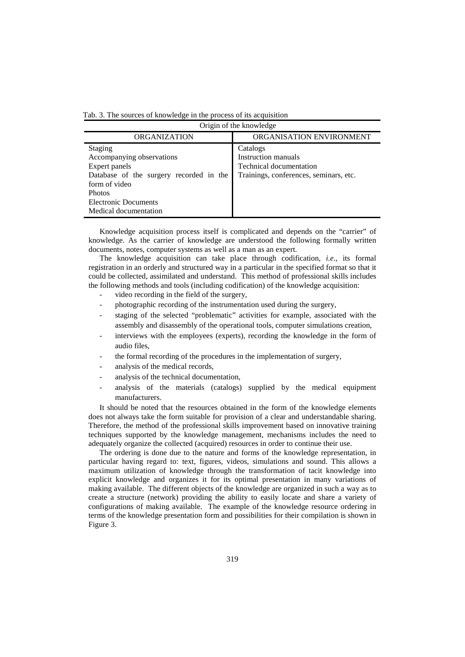|  |  | Tab. 3. The sources of knowledge in the process of its acquisition |  |  |  |  |
|--|--|--------------------------------------------------------------------|--|--|--|--|
|  |  |                                                                    |  |  |  |  |

| Origin of the knowledge                                                                                                                                                                    |                                                                                                             |  |  |  |  |  |  |
|--------------------------------------------------------------------------------------------------------------------------------------------------------------------------------------------|-------------------------------------------------------------------------------------------------------------|--|--|--|--|--|--|
| <b>ORGANIZATION</b>                                                                                                                                                                        | ORGANISATION ENVIRONMENT                                                                                    |  |  |  |  |  |  |
| <b>Staging</b><br>Accompanying observations<br>Expert panels<br>Database of the surgery recorded in the<br>form of video<br><b>Photos</b><br>Electronic Documents<br>Medical documentation | Catalogs<br>Instruction manuals<br><b>Technical documentation</b><br>Trainings, conferences, seminars, etc. |  |  |  |  |  |  |

Knowledge acquisition process itself is complicated and depends on the "carrier" of knowledge. As the carrier of knowledge are understood the following formally written documents, notes, computer systems as well as a man as an expert.

The knowledge acquisition can take place through codification, *i.e*., its formal registration in an orderly and structured way in a particular in the specified format so that it could be collected, assimilated and understand. This method of professional skills includes the following methods and tools (including codification) of the knowledge acquisition:

- video recording in the field of the surgery,
- photographic recording of the instrumentation used during the surgery,
- staging of the selected "problematic" activities for example, associated with the assembly and disassembly of the operational tools, computer simulations creation,
- interviews with the employees (experts), recording the knowledge in the form of audio files,
- the formal recording of the procedures in the implementation of surgery,
- analysis of the medical records,
- analysis of the technical documentation,
- analysis of the materials (catalogs) supplied by the medical equipment manufacturers.

It should be noted that the resources obtained in the form of the knowledge elements does not always take the form suitable for provision of a clear and understandable sharing. Therefore, the method of the professional skills improvement based on innovative training techniques supported by the knowledge management, mechanisms includes the need to adequately organize the collected (acquired) resources in order to continue their use.

The ordering is done due to the nature and forms of the knowledge representation, in particular having regard to: text, figures, videos, simulations and sound. This allows a maximum utilization of knowledge through the transformation of tacit knowledge into explicit knowledge and organizes it for its optimal presentation in many variations of making available. The different objects of the knowledge are organized in such a way as to create a structure (network) providing the ability to easily locate and share a variety of configurations of making available. The example of the knowledge resource ordering in terms of the knowledge presentation form and possibilities for their compilation is shown in Figure 3.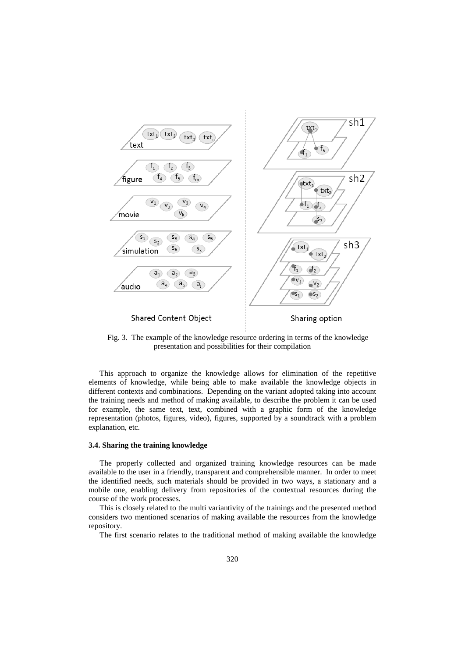

Fig. 3. The example of the knowledge resource ordering in terms of the knowledge presentation and possibilities for their compilation

This approach to organize the knowledge allows for elimination of the repetitive elements of knowledge, while being able to make available the knowledge objects in different contexts and combinations. Depending on the variant adopted taking into account the training needs and method of making available, to describe the problem it can be used for example, the same text, text, combined with a graphic form of the knowledge representation (photos, figures, video), figures, supported by a soundtrack with a problem explanation, etc.

#### **3.4. Sharing the training knowledge**

The properly collected and organized training knowledge resources can be made available to the user in a friendly, transparent and comprehensible manner. In order to meet the identified needs, such materials should be provided in two ways, a stationary and a mobile one, enabling delivery from repositories of the contextual resources during the course of the work processes.

This is closely related to the multi variantivity of the trainings and the presented method considers two mentioned scenarios of making available the resources from the knowledge repository.

The first scenario relates to the traditional method of making available the knowledge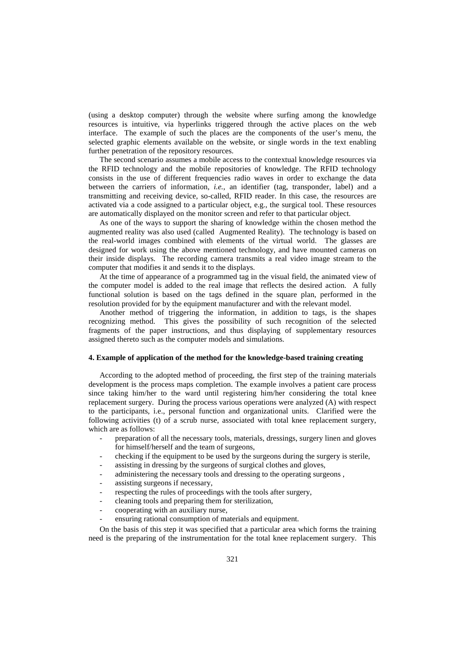(using a desktop computer) through the website where surfing among the knowledge resources is intuitive, via hyperlinks triggered through the active places on the web interface. The example of such the places are the components of the user's menu, the selected graphic elements available on the website, or single words in the text enabling further penetration of the repository resources.

The second scenario assumes a mobile access to the contextual knowledge resources via the RFID technology and the mobile repositories of knowledge. The RFID technology consists in the use of different frequencies radio waves in order to exchange the data between the carriers of information, *i.e.*, an identifier (tag, transponder, label) and a transmitting and receiving device, so-called, RFID reader. In this case, the resources are activated via a code assigned to a particular object, e.g., the surgical tool. These resources are automatically displayed on the monitor screen and refer to that particular object.

As one of the ways to support the sharing of knowledge within the chosen method the augmented reality was also used (called Augmented Reality). The technology is based on the real-world images combined with elements of the virtual world. The glasses are designed for work using the above mentioned technology, and have mounted cameras on their inside displays. The recording camera transmits a real video image stream to the computer that modifies it and sends it to the displays.

At the time of appearance of a programmed tag in the visual field, the animated view of the computer model is added to the real image that reflects the desired action. A fully functional solution is based on the tags defined in the square plan, performed in the resolution provided for by the equipment manufacturer and with the relevant model.

Another method of triggering the information, in addition to tags, is the shapes recognizing method. This gives the possibility of such recognition of the selected fragments of the paper instructions, and thus displaying of supplementary resources assigned thereto such as the computer models and simulations.

## **4. Example of application of the method for the knowledge-based training creating**

According to the adopted method of proceeding, the first step of the training materials development is the process maps completion. The example involves a patient care process since taking him/her to the ward until registering him/her considering the total knee replacement surgery. During the process various operations were analyzed (A) with respect to the participants, i.e., personal function and organizational units. Clarified were the following activities (t) of a scrub nurse, associated with total knee replacement surgery, which are as follows:

- preparation of all the necessary tools, materials, dressings, surgery linen and gloves for himself/herself and the team of surgeons,
- checking if the equipment to be used by the surgeons during the surgery is sterile,
- assisting in dressing by the surgeons of surgical clothes and gloves,
- administering the necessary tools and dressing to the operating surgeons,
- assisting surgeons if necessary,
- respecting the rules of proceedings with the tools after surgery,
- cleaning tools and preparing them for sterilization,
- cooperating with an auxiliary nurse,
- ensuring rational consumption of materials and equipment.

On the basis of this step it was specified that a particular area which forms the training need is the preparing of the instrumentation for the total knee replacement surgery. This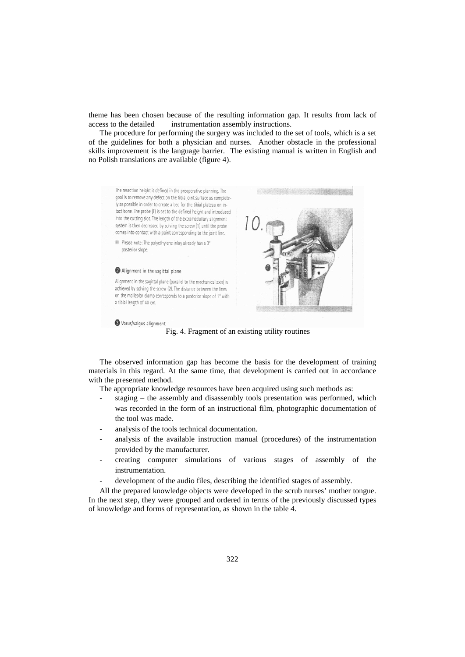theme has been chosen because of the resulting information gap. It results from lack of access to the detailed instrumentation assembly instructions.

The procedure for performing the surgery was included to the set of tools, which is a set of the guidelines for both a physician and nurses. Another obstacle in the professional skills improvement is the language barrier. The existing manual is written in English and no Polish translations are available (figure 4).



Fig. 4. Fragment of an existing utility routines

The observed information gap has become the basis for the development of training materials in this regard. At the same time, that development is carried out in accordance with the presented method.

The appropriate knowledge resources have been acquired using such methods as:

- staging  $-$  the assembly and disassembly tools presentation was performed, which was recorded in the form of an instructional film, photographic documentation of the tool was made.
- analysis of the tools technical documentation.
- analysis of the available instruction manual (procedures) of the instrumentation provided by the manufacturer.
- creating computer simulations of various stages of assembly of the instrumentation.
- development of the audio files, describing the identified stages of assembly.

All the prepared knowledge objects were developed in the scrub nurses' mother tongue. In the next step, they were grouped and ordered in terms of the previously discussed types of knowledge and forms of representation, as shown in the table 4.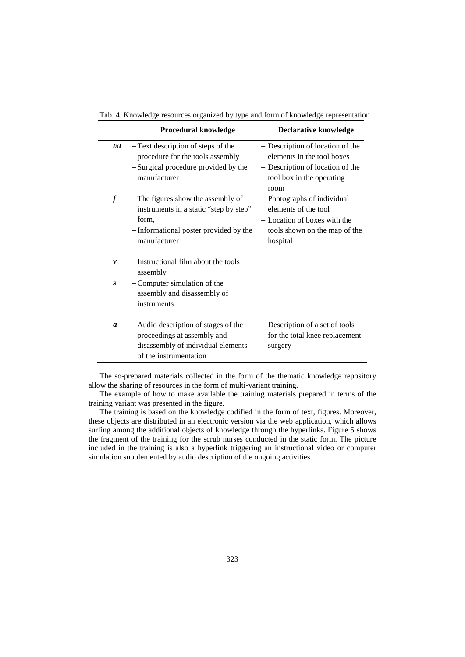|                  | Procedural knowledge                                                                                                                            | <b>Declarative knowledge</b>                                                                                                            |
|------------------|-------------------------------------------------------------------------------------------------------------------------------------------------|-----------------------------------------------------------------------------------------------------------------------------------------|
| txt              | - Text description of steps of the<br>procedure for the tools assembly<br>-Surgical procedure provided by the<br>manufacturer                   | - Description of location of the<br>elements in the tool boxes<br>- Description of location of the<br>tool box in the operating<br>room |
| $\boldsymbol{f}$ | - The figures show the assembly of<br>instruments in a static "step by step"<br>form,<br>- Informational poster provided by the<br>manufacturer | - Photographs of individual<br>elements of the tool<br>- Location of boxes with the<br>tools shown on the map of the<br>hospital        |
| v                | -Instructional film about the tools<br>assembly                                                                                                 |                                                                                                                                         |
| $\mathbf{s}$     | - Computer simulation of the<br>assembly and disassembly of<br>instruments                                                                      |                                                                                                                                         |
| a                | - Audio description of stages of the<br>proceedings at assembly and<br>disassembly of individual elements<br>of the instrumentation             | - Description of a set of tools<br>for the total knee replacement<br>surgery                                                            |

Tab. 4. Knowledge resources organized by type and form of knowledge representation

The so-prepared materials collected in the form of the thematic knowledge repository allow the sharing of resources in the form of multi-variant training.

The example of how to make available the training materials prepared in terms of the training variant was presented in the figure.

The training is based on the knowledge codified in the form of text, figures. Moreover, these objects are distributed in an electronic version via the web application, which allows surfing among the additional objects of knowledge through the hyperlinks. Figure 5 shows the fragment of the training for the scrub nurses conducted in the static form. The picture included in the training is also a hyperlink triggering an instructional video or computer simulation supplemented by audio description of the ongoing activities.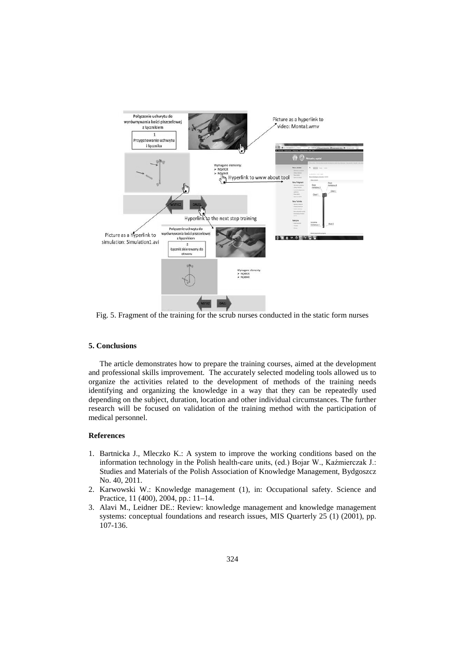

Fig. 5. Fragment of the training for the scrub nurses conducted in the static form nurses

# **5. Conclusions**

The article demonstrates how to prepare the training courses, aimed at the development and professional skills improvement. The accurately selected modeling tools allowed us to organize the activities related to the development of methods of the training needs identifying and organizing the knowledge in a way that they can be repeatedly used depending on the subject, duration, location and other individual circumstances. The further research will be focused on validation of the training method with the participation of medical personnel.

#### **References**

- 1. Bartnicka J., Mleczko K.: A system to improve the working conditions based on the information technology in the Polish health-care units, (ed.) Bojar W., Kaźmierczak J.: Studies and Materials of the Polish Association of Knowledge Management, Bydgoszcz No. 40, 2011.
- 2. Karwowski W.: Knowledge management (1), in: Occupational safety. Science and Practice, 11 (400), 2004, pp.: 11–14.
- 3. Alavi M., Leidner DE.: Review: knowledge management and knowledge management systems: conceptual foundations and research issues, MIS Quarterly 25 (1) (2001), pp. 107-136.